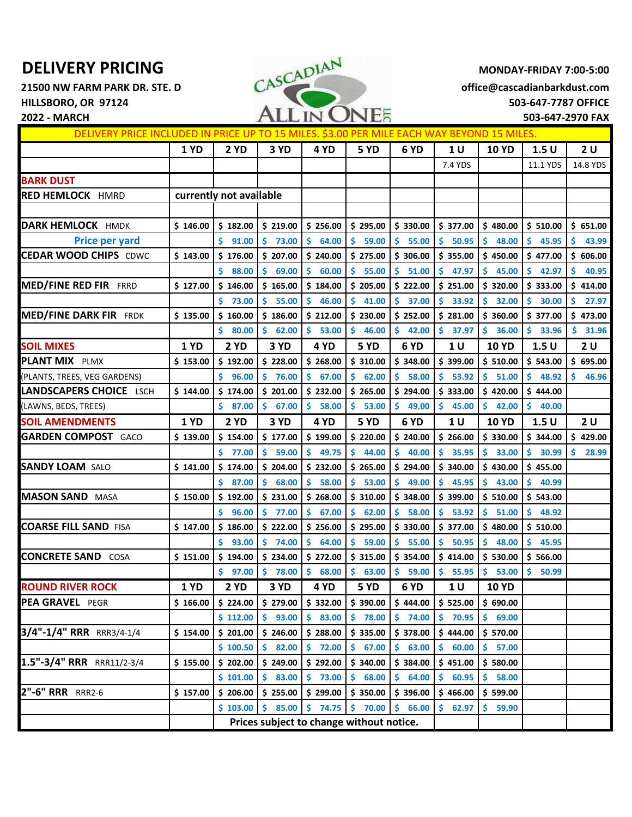**21500 NW FARM PARK DR. STE. D office@cascadianbarkdust.com HILLSBORO, OR 97124 503-647-7787 OFFICE**



| DELIVERY PRICE INCLUDED IN PRICE UP TO 15 MILES. \$3.00 PER MILE EACH WAY BEYOND 15 MILES. |             |                                          |              |              |                                                          |              |              |              |              |             |
|--------------------------------------------------------------------------------------------|-------------|------------------------------------------|--------------|--------------|----------------------------------------------------------|--------------|--------------|--------------|--------------|-------------|
|                                                                                            | 1 YD        | <b>2 YD</b>                              | 3 YD         | 4 YD         | 5 YD                                                     | 6 YD         | 1 U          | <b>10 YD</b> | 1.5U         | 2U          |
|                                                                                            |             |                                          |              |              |                                                          |              | 7.4 YDS      |              | 11.1 YDS     | 14.8 YDS    |
| <b>BARK DUST</b>                                                                           |             |                                          |              |              |                                                          |              |              |              |              |             |
| <b>RED HEMLOCK HMRD</b>                                                                    |             | currently not available                  |              |              |                                                          |              |              |              |              |             |
|                                                                                            |             |                                          |              |              |                                                          |              |              |              |              |             |
| <b>DARK HEMLOCK HMDK</b>                                                                   | \$146.00    | \$182.00                                 | \$219.00     | \$256.00     | \$295.00                                                 | \$330.00     | \$377.00     | \$480.00     | \$510.00     | \$651.00    |
| <b>Price per yard</b>                                                                      |             | \$<br>91.00                              | \$.<br>73.00 | \$<br>64.00  | \$.<br>59.00                                             | \$<br>55.00  | Ŝ.<br>50.95  | \$<br>48.00  | Ś.<br>45.95  | \$<br>43.99 |
| <b>CEDAR WOOD CHIPS CDWC</b>                                                               | \$143.00    | \$176.00                                 | \$207.00     | \$240.00     | \$275.00                                                 | \$306.00     | \$355.00     | \$450.00     | \$477.00     | \$606.00    |
|                                                                                            |             | Ś<br>88.00                               | 69.00<br>Ś.  | Ś<br>60.00   | Ś.<br>55.00                                              | Ś<br>51.00   | Ŝ<br>47.97   | 45.00        | Ś<br>42.97   | 40.95<br>Ś  |
| <b>MED/FINE RED FIR FRRD</b>                                                               | \$127.00    | \$146.00                                 | \$165.00     | \$184.00     | \$205.00                                                 | \$222.00     | \$251.00     | \$320.00     | \$333.00     | \$414.00    |
|                                                                                            |             | Ś.<br>73.00                              | Ś.<br>55.00  | Ŝ.<br>46.00  | Ś.<br>41.00                                              | Ś<br>37.00   | Ŝ<br>33.92   | Ś<br>32.00   | Ś<br>30.00   | Ś<br>27.97  |
| <b>MED/FINE DARK FIR FRDK</b>                                                              | \$135.00    | \$160.00                                 | \$186.00     | \$212.00     | \$230.00                                                 | \$252.00     | \$281.00     | \$360.00     | \$377.00     | \$473.00    |
|                                                                                            |             | \$.<br>80.00                             | \$62.00      | S<br>53.00   | \$.<br>46.00                                             | \$.<br>42.00 | -S<br>37.97  | 36.00<br>S.  | Š.<br>33.96  | 31.96<br>s  |
| <b>SOIL MIXES</b>                                                                          | 1 YD        | <b>2 YD</b>                              | 3 YD         | 4 YD         | 5 YD                                                     | 6 YD         | 1 U          | <b>10 YD</b> | 1.5U         | 2U          |
| <b>PLANT MIX PLMX</b>                                                                      | \$153.00    | \$192.00                                 | \$228.00     | \$268.00     | \$310.00                                                 | \$348.00     | \$399.00     | \$510.00     | \$543.00     | \$695.00    |
| (PLANTS, TREES, VEG GARDENS)                                                               |             | Š.<br>96.00                              | \$76.00      | Ŝ.<br>67.00  | \$<br>62.00                                              | Ś<br>58.00   | Ŝ.<br>53.92  | Ś<br>51.00   | Ś.<br>48.92  | Ŝ<br>46.96  |
| LANDSCAPERS CHOICE LSCH                                                                    | \$144.00    | \$174.00                                 | \$201.00     | \$232.00     | \$265.00                                                 | \$294.00     | \$333.00     | \$420.00     | \$444.00     |             |
| (LAWNS, BEDS, TREES)                                                                       |             | \$37.00                                  | \$67.00      | \$58.00      | \$53.00                                                  | \$.<br>49.00 | \$<br>45.00  | \$.<br>42.00 | \$40.00      |             |
| <b>SOIL AMENDMENTS</b>                                                                     | 1 YD        | 2 YD                                     | 3 YD         | 4 YD         | <b>5 YD</b>                                              | 6 YD         | 1 U          | <b>10 YD</b> | 1.5U         | 2U          |
| <b>GARDEN COMPOST GACO</b>                                                                 | \$139.00    | \$154.00                                 | \$177.00     | \$199.00     | \$220.00                                                 | \$240.00     | \$266.00     | \$330.00     | \$344.00     | \$429.00    |
|                                                                                            |             | Ś.<br>77.00                              | \$.<br>59.00 | Ŝ.<br>49.75  | Ś.<br>44.00                                              | Ś.<br>40.00  | Ŝ.<br>35.95  | Ś.<br>33.00  | Ś<br>30.99   | Ŝ.<br>28.99 |
| <b>SANDY LOAM SALO</b>                                                                     | \$141.00    | \$174.00                                 | \$204.00     | \$232.00     | \$265.00                                                 | \$294.00     | \$340.00     | \$430.00     | \$455.00     |             |
|                                                                                            |             | \$<br>87.00                              | \$68.00      | Ś<br>58.00   | \$<br>53.00                                              | Ś<br>49.00   | \$<br>45.95  | Ś.<br>43.00  | Ś.<br>40.99  |             |
| <b>MASON SAND MASA</b>                                                                     | \$150.00    | \$192.00                                 | \$231.00     | \$268.00     | \$310.00                                                 | \$348.00     | \$399.00     | \$510.00     | \$543.00     |             |
|                                                                                            |             | \$<br>96.00                              | \$77.00      | \$<br>67.00  | \$.<br>62.00                                             | \$<br>58.00  | Ŝ.<br>53.92  | \$.<br>51.00 | \$.<br>48.92 |             |
| <b>COARSE FILL SAND FISA</b>                                                               | \$147.00    | \$186.00                                 | \$222.00     | \$256.00     | \$295.00                                                 | \$330.00     | \$377.00     | \$480.00     | \$510.00     |             |
|                                                                                            |             | Ś.<br>93.00                              | \$74.00      | \$.<br>64.00 | \$.<br>59.00                                             | Ś<br>55.00   | Ŝ<br>50.95   | Ś.<br>48.00  | Ś<br>45.95   |             |
| <b>CONCRETE SAND COSA</b>                                                                  | \$151.00    | \$194.00                                 | \$234.00     | \$272.00     | \$315.00                                                 | \$354.00     | \$414.00     | \$530.00     | \$566.00     |             |
|                                                                                            |             | \$.<br>97.00                             | \$.<br>78.00 | 68.00        | \$<br>63.00                                              | \$<br>59.00  | 55.95<br>\$. | 53.00<br>\$. | Ś<br>50.99   |             |
| <b>ROUND RIVER ROCK</b>                                                                    | <b>1 YD</b> | <b>2 YD</b>                              | 3 YD         | 4 YD         | 5 YD                                                     | 6 YD         | $1U$         | <b>10 YD</b> |              |             |
| PEA GRAVEL PEGR                                                                            | \$166.00    | \$224.00                                 | \$279.00     | \$332.00     | \$390.00                                                 | \$444.00     | \$525.00     | \$690.00     |              |             |
|                                                                                            |             | \$112.00                                 | \$93.00      | \$83.00      | \$78.00                                                  | \$74.00      | \$70.95      | \$69.00      |              |             |
| 3/4"-1/4" RRR RRR3/4-1/4                                                                   | \$154.00    | \$201.00                                 | \$246.00     | \$288.00     | \$335.00                                                 | \$378.00     | \$444.00     | \$570.00     |              |             |
|                                                                                            |             | \$100.50                                 | \$ 82.00     | \$72.00      | \$67.00                                                  | \$63.00      | \$60.00      | \$57.00      |              |             |
| 1.5"-3/4" RRR RRR11/2-3/4                                                                  | \$155.00    | \$202.00                                 | \$249.00     | \$292.00     | \$340.00                                                 | \$384.00     | \$451.00     | \$580.00     |              |             |
|                                                                                            |             | \$101.00                                 | \$83.00      | \$73.00      | \$68.00                                                  | \$64.00      | \$60.95      | \$58.00      |              |             |
| 2"-6" RRR RRR2-6                                                                           | \$157.00    | \$206.00                                 |              |              | $\frac{1}{2}$ 255.00   \$ 299.00   \$ 350.00   \$ 396.00 |              | \$466.00     | \$599.00     |              |             |
|                                                                                            |             | \$103.00                                 | \$85.00      |              | $$74.75$ $$70.00$                                        | \$66.00      | \$62.97      | \$59.90      |              |             |
|                                                                                            |             | Prices subject to change without notice. |              |              |                                                          |              |              |              |              |             |